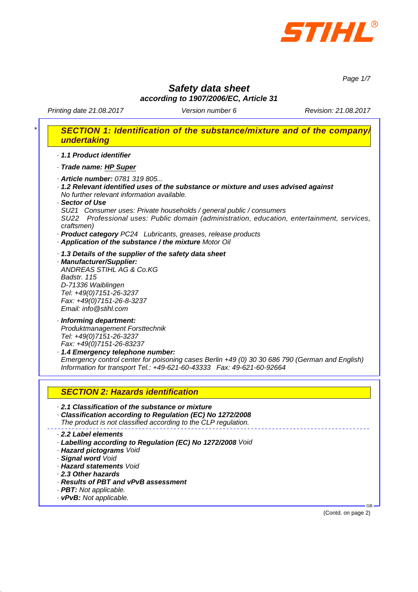

*Page 1/7*

## *Safety data sheet according to 1907/2006/EC, Article 31*

Printing date 21.08.2017 **Version number 6** Revision: 21.08.2017

| undertaking                                                                                                                                                                                                                                                                                                                                                                                                                                                                                                |
|------------------------------------------------------------------------------------------------------------------------------------------------------------------------------------------------------------------------------------------------------------------------------------------------------------------------------------------------------------------------------------------------------------------------------------------------------------------------------------------------------------|
| · 1.1 Product identifier                                                                                                                                                                                                                                                                                                                                                                                                                                                                                   |
| · Trade name: HP Super                                                                                                                                                                                                                                                                                                                                                                                                                                                                                     |
| · Article number: 0781 319 805<br>$\cdot$ 1.2 Relevant identified uses of the substance or mixture and uses advised against<br>No further relevant information available.<br>· Sector of Use<br>SU21 Consumer uses: Private households / general public / consumers<br>SU22 Professional uses: Public domain (administration, education, entertainment, services,<br>craftsmen)<br>· Product category PC24 Lubricants, greases, release products<br>· Application of the substance / the mixture Motor Oil |
| 1.3 Details of the supplier of the safety data sheet<br>· Manufacturer/Supplier:<br>ANDREAS STIHL AG & Co.KG<br>Badstr. 115<br>D-71336 Waiblingen<br>Tel: +49(0)7151-26-3237<br>Fax: +49(0)7151-26-8-3237<br>Email: info@stihl.com                                                                                                                                                                                                                                                                         |
| · Informing department:<br>Produktmanagement Forsttechnik<br>Tel: +49(0)7151-26-3237<br>Fax: +49(0)7151-26-83237<br>1.4 Emergency telephone number:<br>Emergency control center for poisoning cases Berlin +49 (0) 30 30 686 790 (German and English)<br>Information for transport Tel.: +49-621-60-43333  Fax: 49-621-60-92664                                                                                                                                                                            |
| <b>SECTION 2: Hazards identification</b>                                                                                                                                                                                                                                                                                                                                                                                                                                                                   |
| 2.1 Classification of the substance or mixture<br>Classification according to Regulation (EC) No 1272/2008<br>The product is not classified according to the CLP regulation.                                                                                                                                                                                                                                                                                                                               |
| 2.2 Label elements<br>Labelling according to Regulation (EC) No 1272/2008 Void<br>· Hazard pictograms Void<br>· Signal word Void<br>· Hazard statements Void                                                                                                                                                                                                                                                                                                                                               |
| 2.3 Other hazards<br>· Results of PBT and vPvB assessment                                                                                                                                                                                                                                                                                                                                                                                                                                                  |
| · PBT: Not applicable.                                                                                                                                                                                                                                                                                                                                                                                                                                                                                     |

(Contd. on page 2)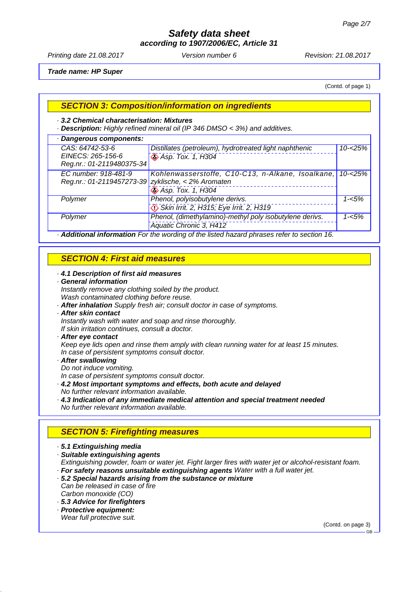*according to 1907/2006/EC, Article 31*

Printing date 21.08.2017 **Version number 6** Revision: 21.08.2017

*Trade name: HP Super*

(Contd. of page 1)

#### *SECTION 3: Composition/information on ingredients*

#### *· 3.2 Chemical characterisation: Mixtures*

*· Description: Highly refined mineral oil (IP 346 DMSO < 3%) and additives.*

| · Dangerous components:                                                                  |                                                         |            |  |  |
|------------------------------------------------------------------------------------------|---------------------------------------------------------|------------|--|--|
| CAS: 64742-53-6                                                                          | Distillates (petroleum), hydrotreated light naphthenic  | $10 - 25%$ |  |  |
| EINECS: 265-156-6                                                                        | <b>◆ Asp. Tox. 1, H304</b>                              |            |  |  |
| Reg.nr.: 01-2119480375-34                                                                |                                                         |            |  |  |
| EC number: 918-481-9                                                                     | Kohlenwasserstoffe, C10-C13, n-Alkane, Isoalkane,       | $10 - 25%$ |  |  |
| Reg.nr.: 01-2119457273-39 zyklische, < 2% Aromaten                                       |                                                         |            |  |  |
|                                                                                          | <b>Asp. Tox. 1, H304</b>                                |            |  |  |
| Polymer                                                                                  | Phenol, polyisobutylene derivs.                         | $1 - 5%$   |  |  |
|                                                                                          | Skin Irrit. 2, H315; Eye Irrit. 2, H319                 |            |  |  |
| Polymer                                                                                  | Phenol, (dimethylamino)-methyl poly isobutylene derivs. | $1 - 5%$   |  |  |
|                                                                                          | Aquatic Chronic 3, H412                                 |            |  |  |
| Additional information For the wording of the listed hazard phrases refer to section 16. |                                                         |            |  |  |

#### *SECTION 4: First aid measures*

- *· 4.1 Description of first aid measures*
- *· General information Instantly remove any clothing soiled by the product.*
- *Wash contaminated clothing before reuse.*
- *· After inhalation Supply fresh air; consult doctor in case of symptoms.*
- *· After skin contact*
- *Instantly wash with water and soap and rinse thoroughly. If skin irritation continues, consult a doctor.*
- 
- *· After eye contact Keep eye lids open and rinse them amply with clean running water for at least 15 minutes.*

*In case of persistent symptoms consult doctor.*

- *· After swallowing*
- *Do not induce vomiting.*

*In case of persistent symptoms consult doctor.*

- *· 4.2 Most important symptoms and effects, both acute and delayed*
- *No further relevant information available.*
- *· 4.3 Indication of any immediate medical attention and special treatment needed No further relevant information available.*

## *SECTION 5: Firefighting measures*

- *· 5.1 Extinguishing media*
- *· Suitable extinguishing agents*

*Extinguishing powder, foam or water jet. Fight larger fires with water jet or alcohol-resistant foam. · For safety reasons unsuitable extinguishing agents Water with a full water jet.*

- *· 5.2 Special hazards arising from the substance or mixture*
- *Can be released in case of fire Carbon monoxide (CO)*
- *· 5.3 Advice for firefighters*
- *· Protective equipment: Wear full protective suit.*

(Contd. on page 3)

GB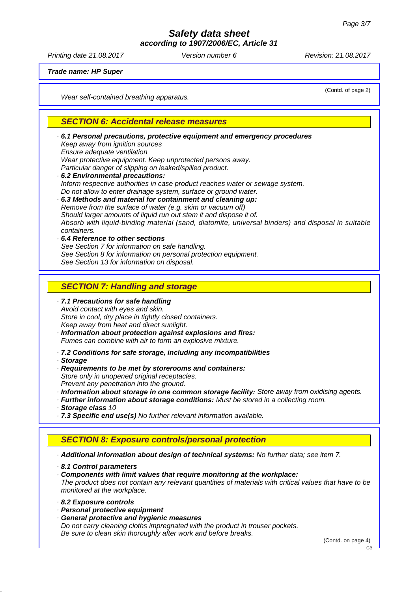*according to 1907/2006/EC, Article 31*

Printing date 21.08.2017 Version number 6 Revision: 21.08.2017

*Trade name: HP Super*

*Wear self-contained breathing apparatus.*

(Contd. of page 2)

#### *SECTION 6: Accidental release measures*

| ⋅ 6.1 Personal precautions, protective equipment and emergency procedures<br>Keep away from ignition sources<br>Ensure adequate ventilation<br>Wear protective equipment. Keep unprotected persons away.<br>Particular danger of slipping on leaked/spilled product.<br>. 6.2 Environmental precautions:<br>Inform respective authorities in case product reaches water or sewage system.<br>Do not allow to enter drainage system, surface or ground water.<br>6.3 Methods and material for containment and cleaning up:<br>Remove from the surface of water (e.g. skim or vacuum off)<br>Should larger amounts of liquid run out stem it and dispose it of.<br>Absorb with liquid-binding material (sand, diatomite, universal binders) and disposal in suitable<br>containers.<br>$\cdot$ 6.4 Reference to other sections<br>See Section 7 for information on safe handling.<br>See Section 8 for information on personal protection equipment.<br>See Section 13 for information on disposal. |
|---------------------------------------------------------------------------------------------------------------------------------------------------------------------------------------------------------------------------------------------------------------------------------------------------------------------------------------------------------------------------------------------------------------------------------------------------------------------------------------------------------------------------------------------------------------------------------------------------------------------------------------------------------------------------------------------------------------------------------------------------------------------------------------------------------------------------------------------------------------------------------------------------------------------------------------------------------------------------------------------------|
|                                                                                                                                                                                                                                                                                                                                                                                                                                                                                                                                                                                                                                                                                                                                                                                                                                                                                                                                                                                                   |
| <b>SECTION 7: Handling and storage</b>                                                                                                                                                                                                                                                                                                                                                                                                                                                                                                                                                                                                                                                                                                                                                                                                                                                                                                                                                            |
| · 7.1 Precautions for safe handling<br>Avoid contact with eyes and skin.<br>Store in cool, dry place in tightly closed containers.<br>Keep away from heat and direct sunlight.<br>· Information about protection against explosions and fires:<br>Fumes can combine with air to form an explosive mixture.<br>· 7.2 Conditions for safe storage, including any incompatibilities<br>· Storage<br>Requirements to be met by storerooms and containers:<br>Store only in unopened original receptacles.<br>Prevent any penetration into the ground.<br>· Information about storage in one common storage facility: Store away from oxidising agents.<br>· Further information about storage conditions: Must be stored in a collecting room.<br>· Storage class 10<br>· 7.3 Specific end use(s) No further relevant information available.                                                                                                                                                          |
| <b>SECTION 8: Exposure controls/personal protection</b>                                                                                                                                                                                                                                                                                                                                                                                                                                                                                                                                                                                                                                                                                                                                                                                                                                                                                                                                           |
|                                                                                                                                                                                                                                                                                                                                                                                                                                                                                                                                                                                                                                                                                                                                                                                                                                                                                                                                                                                                   |
| - Additional information about design of technical systems: No further data; see item 7.                                                                                                                                                                                                                                                                                                                                                                                                                                                                                                                                                                                                                                                                                                                                                                                                                                                                                                          |
| 8.1 Control parameters<br>Components with limit values that require monitoring at the workplace:<br>The product does not contain any relevant quantities of materials with critical values that have to be<br>monitored at the workplace.                                                                                                                                                                                                                                                                                                                                                                                                                                                                                                                                                                                                                                                                                                                                                         |
| 8.2 Exposure controls<br>· Personal protective equipment                                                                                                                                                                                                                                                                                                                                                                                                                                                                                                                                                                                                                                                                                                                                                                                                                                                                                                                                          |

*· General protective and hygienic measures Do not carry cleaning cloths impregnated with the product in trouser pockets. Be sure to clean skin thoroughly after work and before breaks.*

(Contd. on page 4)

GB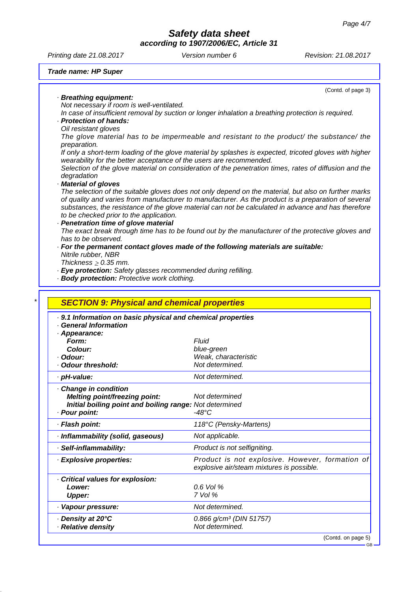|                                                                                 | according to 1907/2006/EC, Article 31                                                                                                                                          |                      |
|---------------------------------------------------------------------------------|--------------------------------------------------------------------------------------------------------------------------------------------------------------------------------|----------------------|
| Printing date 21.08.2017                                                        | Version number 6                                                                                                                                                               | Revision: 21.08.2017 |
| <b>Trade name: HP Super</b>                                                     |                                                                                                                                                                                |                      |
|                                                                                 |                                                                                                                                                                                | (Contd. of page 3)   |
| · Breathing equipment:<br>Not necessary if room is well-ventilated.             |                                                                                                                                                                                |                      |
|                                                                                 | In case of insufficient removal by suction or longer inhalation a breathing protection is required.                                                                            |                      |
| · Protection of hands:                                                          |                                                                                                                                                                                |                      |
| Oil resistant gloves                                                            |                                                                                                                                                                                |                      |
| preparation.                                                                    | The glove material has to be impermeable and resistant to the product/ the substance/ the                                                                                      |                      |
|                                                                                 | If only a short-term loading of the glove material by splashes is expected, tricoted gloves with higher<br>wearability for the better acceptance of the users are recommended. |                      |
| degradation                                                                     | Selection of the glove material on consideration of the penetration times, rates of diffusion and the                                                                          |                      |
| <b>Material of gloves</b>                                                       |                                                                                                                                                                                |                      |
|                                                                                 | The selection of the suitable gloves does not only depend on the material, but also on further marks                                                                           |                      |
|                                                                                 | of quality and varies from manufacturer to manufacturer. As the product is a preparation of several                                                                            |                      |
|                                                                                 | substances, the resistance of the glove material can not be calculated in advance and has therefore                                                                            |                      |
| to be checked prior to the application.<br>· Penetration time of glove material |                                                                                                                                                                                |                      |
|                                                                                 | The exact break through time has to be found out by the manufacturer of the protective gloves and                                                                              |                      |
| has to be observed.                                                             |                                                                                                                                                                                |                      |
|                                                                                 | · For the permanent contact gloves made of the following materials are suitable:                                                                                               |                      |
| Nitrile rubber, NBR                                                             |                                                                                                                                                                                |                      |
| Thickness $\geq 0.35$ mm.                                                       |                                                                                                                                                                                |                      |
|                                                                                 | · Eye protection: Safety glasses recommended during refilling.                                                                                                                 |                      |
| · Body protection: Protective work clothing.                                    |                                                                                                                                                                                |                      |
| <b>SECTION 9: Physical and chemical properties</b>                              |                                                                                                                                                                                |                      |
|                                                                                 |                                                                                                                                                                                |                      |
| · General Information                                                           | · 9.1 Information on basic physical and chemical properties                                                                                                                    |                      |
| · Appearance:                                                                   |                                                                                                                                                                                |                      |
| Form:                                                                           | Fluid                                                                                                                                                                          |                      |
| Colour:                                                                         | blue-green                                                                                                                                                                     |                      |
| · Odour:                                                                        | Weak, characteristic                                                                                                                                                           |                      |
| · Odour threshold:                                                              | Not determined.                                                                                                                                                                |                      |
| · pH-value:                                                                     | Not determined.                                                                                                                                                                |                      |
| Change in condition                                                             |                                                                                                                                                                                |                      |

| Change in condition<br>Melting point/freezing point:<br>Initial boiling point and boiling range: Not determined<br>· Pour point: | Not determined<br>-48°C                                                                      |
|----------------------------------------------------------------------------------------------------------------------------------|----------------------------------------------------------------------------------------------|
| · Flash point:                                                                                                                   | 118°C (Pensky-Martens)                                                                       |
| · Inflammability (solid, gaseous)                                                                                                | Not applicable.                                                                              |
| · Self-inflammability:                                                                                                           | Product is not selfigniting.                                                                 |
| · Explosive properties:                                                                                                          | Product is not explosive. However, formation of<br>explosive air/steam mixtures is possible. |
| Critical values for explosion:<br>Lower:<br>Upper:                                                                               | $0.6$ Vol %<br>$7$ Vol $%$                                                                   |
| · Vapour pressure:                                                                                                               | Not determined.                                                                              |
| Density at 20°C<br>· Relative density                                                                                            | 0.866 g/cm <sup>3</sup> (DIN 51757)<br>Not determined.                                       |
|                                                                                                                                  | (Contd. on page 5)                                                                           |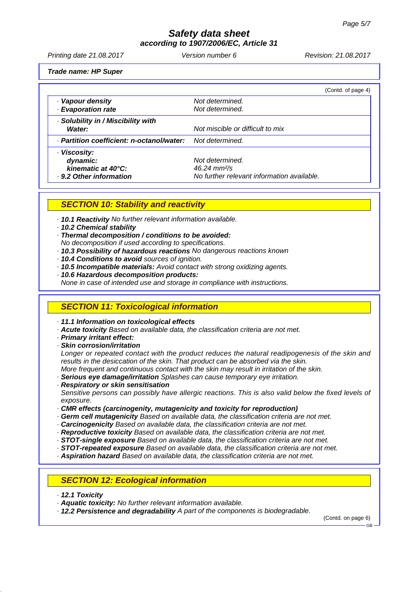*according to 1907/2006/EC, Article 31*

Printing date 21.08.2017 **Version number 6** Revision: 21.08.2017

*Trade name: HP Super*

|                                           | (Contd. of page 4)                         |  |
|-------------------------------------------|--------------------------------------------|--|
| · Vapour density                          | Not determined.                            |  |
| · Evaporation rate                        | Not determined.                            |  |
| · Solubility in / Miscibility with        |                                            |  |
| Water:                                    | Not miscible or difficult to mix           |  |
| · Partition coefficient: n-octanol/water: | Not determined.                            |  |
| · Viscosity:                              |                                            |  |
| dynamic:                                  | Not determined.                            |  |
| kinematic at 40°C:                        | $46.24 \text{ mm}^2/\text{s}$              |  |
| . 9.2 Other information                   | No further relevant information available. |  |

#### *SECTION 10: Stability and reactivity*

*· 10.1 Reactivity No further relevant information available.*

#### *· 10.2 Chemical stability*

*· Thermal decomposition / conditions to be avoided:*

- *No decomposition if used according to specifications.*
- *· 10.3 Possibility of hazardous reactions No dangerous reactions known*
- *· 10.4 Conditions to avoid sources of ignition.*
- *· 10.5 Incompatible materials: Avoid contact with strong oxidizing agents.*
- *· 10.6 Hazardous decomposition products:*
- *None in case of intended use and storage in compliance with instructions.*

#### *SECTION 11: Toxicological information*

*· 11.1 Information on toxicological effects*

- *· Acute toxicity Based on available data, the classification criteria are not met.*
- *· Primary irritant effect:*
- *· Skin corrosion/irritation*

*Longer or repeated contact with the product reduces the natural readipogenesis of the skin and results in the desiccation of the skin. That product can be absorbed via the skin. More frequent and continuous contact with the skin may result in irritation of the skin.*

*· Serious eye damage/irritation Splashes can cause temporary eye irritation.*

*· Respiratory or skin sensitisation*

*Sensitive persons can possibly have allergic reactions. This is also valid below the fixed levels of exposure.*

*· CMR effects (carcinogenity, mutagenicity and toxicity for reproduction)*

- *· Germ cell mutagenicity Based on available data, the classification criteria are not met.*
- *· Carcinogenicity Based on available data, the classification criteria are not met.*
- *· Reproductive toxicity Based on available data, the classification criteria are not met.*
- *· STOT-single exposure Based on available data, the classification criteria are not met.*
- *· STOT-repeated exposure Based on available data, the classification criteria are not met.*
- *· Aspiration hazard Based on available data, the classification criteria are not met.*

### *SECTION 12: Ecological information*

- *· 12.1 Toxicity*
- *· Aquatic toxicity: No further relevant information available.*
- *· 12.2 Persistence and degradability A part of the components is biodegradable.*

(Contd. on page 6)

GB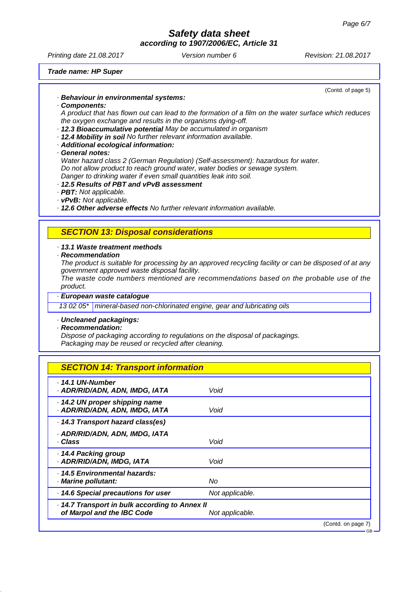*according to 1907/2006/EC, Article 31*

Printing date 21.08.2017 **Version number 6** Revision: 21.08.2017

*Trade name: HP Super*

(Contd. of page 5)

*· Components: A product that has flown out can lead to the formation of a film on the water surface which reduces the oxygen exchange and results in the organisms dying-off.*

- *· 12.3 Bioaccumulative potential May be accumulated in organism*
- *· 12.4 Mobility in soil No further relevant information available.*
- *· Additional ecological information:*

*· Behaviour in environmental systems:*

*· General notes:*

*Water hazard class 2 (German Regulation) (Self-assessment): hazardous for water. Do not allow product to reach ground water, water bodies or sewage system. Danger to drinking water if even small quantities leak into soil.*

- *· 12.5 Results of PBT and vPvB assessment*
- *· PBT: Not applicable.*
- *· vPvB: Not applicable.*

*· 12.6 Other adverse effects No further relevant information available.*

#### *SECTION 13: Disposal considerations*

#### *· 13.1 Waste treatment methods*

*· Recommendation*

*The product is suitable for processing by an approved recycling facility or can be disposed of at any government approved waste disposal facility.*

*The waste code numbers mentioned are recommendations based on the probable use of the product.*

*· European waste catalogue*

*13 02 05\* mineral-based non-chlorinated engine, gear and lubricating oils*

## *· Uncleaned packagings:*

*· Recommendation:*

*Dispose of packaging according to regulations on the disposal of packagings. Packaging may be reused or recycled after cleaning.*

#### *SECTION 14: Transport information*

| $\cdot$ 14.1 UN-Number<br>· ADR/RID/ADN, ADN, IMDG, IATA                     | Void            |                    |
|------------------------------------------------------------------------------|-----------------|--------------------|
| 14.2 UN proper shipping name<br>· ADR/RID/ADN, ADN, IMDG, IATA               | Void            |                    |
| . 14.3 Transport hazard class(es)                                            |                 |                    |
| · ADR/RID/ADN, ADN, IMDG, IATA<br>· Class                                    | Void            |                    |
| 14.4 Packing group<br>· ADR/RID/ADN, IMDG, IATA                              | Void            |                    |
| · 14.5 Environmental hazards:<br>· Marine pollutant:                         | No              |                    |
| · 14.6 Special precautions for user                                          | Not applicable. |                    |
| · 14.7 Transport in bulk according to Annex II<br>of Marpol and the IBC Code | Not applicable. |                    |
|                                                                              |                 | (Contd. on page 7) |